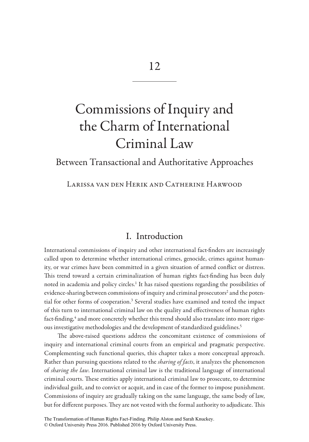# Commissions of Inquiry and the Charm of International Criminal Law

Between Transactional and Authoritative Approaches

Larissa van den Herik and Catherine Harwood

## I. Introduction

International commissions of inquiry and other international fact-finders are increasingly called upon to determine whether international crimes, genocide, crimes against humanity, or war crimes have been committed in a given situation of armed conflict or distress. This trend toward a certain criminalization of human rights fact-finding has been duly noted in academia and policy circles.<sup>1</sup> It has raised questions regarding the possibilities of evidence-sharing between commissions of inquiry and criminal prosecutors $^{\text{2}}$  and the potential for other forms of cooperation.<sup>3</sup> Several studies have examined and tested the impact of this turn to international criminal law on the quality and effectiveness of human rights fact-finding,<sup>4</sup> and more concretely whether this trend should also translate into more rigorous investigative methodologies and the development of standardized guidelines.<sup>5</sup>

The above-raised questions address the concomitant existence of commissions of inquiry and international criminal courts from an empirical and pragmatic perspective. Complementing such functional queries, this chapter takes a more conceptual approach. Rather than pursuing questions related to the *sharing of facts*, it analyzes the phenomenon of *sharing the law*. International criminal law is the traditional language of international criminal courts. These entities apply international criminal law to prosecute, to determine individual guilt, and to convict or acquit, and in case of the former to impose punishment. Commissions of inquiry are gradually taking on the same language, the same body of law, but for different purposes. They are not vested with the formal authority to adjudicate. This

The Transformation of Human Rights Fact-Finding. Philip Alston and Sarah Knuckey. © Oxford University Press 2016. Published 2016 by Oxford University Press.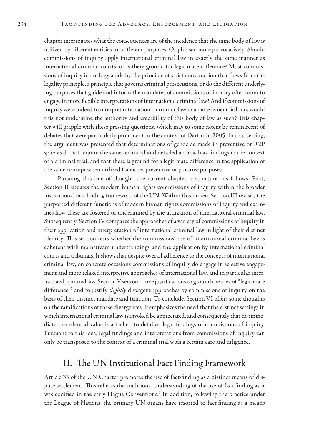chapter interrogates what the consequences are of the incidence that the same body of law is utilized by different entities for different purposes. Or phrased more provocatively: Should commissions of inquiry apply international criminal law in exactly the same manner as international criminal courts, or is there ground for legitimate difference? Must commissions of inquiry in analogy abide by the principle of strict construction that flows from the legality principle, a principle that governs criminal prosecutions, or do the different underlying purposes that guide and inform the mandates of commissions of inquiry offer room to engage in more flexible interpretations of international criminal law? And if commissions of inquiry were indeed to interpret international criminal law in a more lenient fashion, would this not undermine the authority and credibility of this body of law as such? This chapter will grapple with these pressing questions, which may to some extent be reminiscent of debates that were particularly prominent in the context of Darfur in 2005. In that setting, the argument was presented that determinations of genocide made in preventive or R2P spheres do not require the same technical and detailed approach as findings in the context of a criminal trial, and that there is ground for a legitimate difference in the application of the same concept when utilized for either preventive or punitive purposes.

Pursuing this line of thought, the current chapter is structured as follows. First, Section II situates the modern human rights commissions of inquiry within the broader institutional fact-finding framework of the UN. Within this milieu, Section III revisits the purported different functions of modern human rights commissions of inquiry and examines how these are fostered or undermined by the utilization of international criminal law. Subsequently, Section IV compares the approaches of a variety of commissions of inquiry in their application and interpretation of international criminal law in light of their distinct identity. This section tests whether the commissions' use of international criminal law is coherent with mainstream understandings and the application by international criminal courts and tribunals. It shows that despite overall adherence to the concepts of international criminal law, on concrete occasions commissions of inquiry do engage in selective engagement and more relaxed interpretive approaches of international law, and in particular international criminal law. Section V sets out three justifications to ground the idea of "legitimate difference"6 and to justify *slightly* divergent approaches by commissions of inquiry on the basis of their distinct mandate and function. To conclude, Section VI offers some thoughts on the ramifications of these divergences. It emphasizes the need that the distinct settings in which international criminal law is invoked be appreciated, and consequently that no immediate precedential value is attached to detailed legal findings of commissions of inquiry. Pursuant to this idea, legal findings and interpretations from commissions of inquiry can only be transposed to the context of a criminal trial with a certain care and diligence.

## II. The UN Institutional Fact-Finding Framework

Article 33 of the UN Charter promotes the use of fact-finding as a distinct means of dispute settlement. This reflects the traditional understanding of the use of fact-finding as it was codified in the early Hague Conventions.7 In addition, following the practice under the League of Nations, the primary UN organs have resorted to fact-finding as a means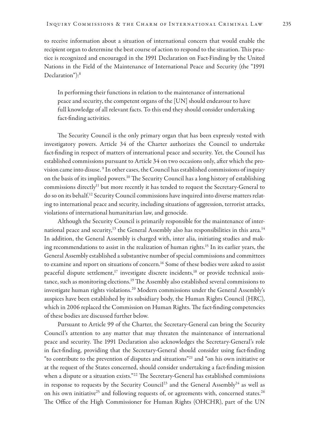to receive information about a situation of international concern that would enable the recipient organ to determine the best course of action to respond to the situation. This practice is recognized and encouraged in the 1991 Declaration on Fact-Finding by the United Nations in the Field of the Maintenance of International Peace and Security (the "1991 Declaration"):<sup>8</sup>

In performing their functions in relation to the maintenance of international peace and security, the competent organs of the [UN] should endeavour to have full knowledge of all relevant facts. To this end they should consider undertaking fact-finding activities.

The Security Council is the only primary organ that has been expressly vested with investigatory powers. Article 34 of the Charter authorizes the Council to undertake fact-finding in respect of matters of international peace and security. Yet, the Council has established commissions pursuant to Article 34 on two occasions only, after which the provision came into disuse. <sup>9</sup> In other cases, the Council has established commissions of inquiry on the basis of its implied powers.<sup>10</sup> The Security Council has a long history of establishing commissions directly<sup>11</sup> but more recently it has tended to request the Secretary-General to do so on its behalf.12 Security Council commissions have inquired into diverse matters relating to international peace and security, including situations of aggression, terrorist attacks, violations of international humanitarian law, and genocide.

Although the Security Council is primarily responsible for the maintenance of international peace and security,<sup>13</sup> the General Assembly also has responsibilities in this area.<sup>14</sup> In addition, the General Assembly is charged with, inter alia, initiating studies and making recommendations to assist in the realization of human rights.15 In its earlier years, the General Assembly established a substantive number of special commissions and committees to examine and report on situations of concern.16 Some of these bodies were asked to assist peaceful dispute settlement,<sup>17</sup> investigate discrete incidents,<sup>18</sup> or provide technical assistance, such as monitoring elections.<sup>19</sup> The Assembly also established several commissions to investigate human rights violations.<sup>20</sup> Modern commissions under the General Assembly's auspices have been established by its subsidiary body, the Human Rights Council (HRC), which in 2006 replaced the Commission on Human Rights. The fact-finding competencies of these bodies are discussed further below.

Pursuant to Article 99 of the Charter, the Secretary-General can bring the Security Council's attention to any matter that may threaten the maintenance of international peace and security. The 1991 Declaration also acknowledges the Secretary-General's role in fact-finding, providing that the Secretary-General should consider using fact-finding "to contribute to the prevention of disputes and situations"21 and "on his own initiative or at the request of the States concerned, should consider undertaking a fact-finding mission when a dispute or a situation exists."<sup>22</sup> The Secretary-General has established commissions in response to requests by the Security Council<sup>23</sup> and the General Assembly<sup>24</sup> as well as on his own initiative<sup>25</sup> and following requests of, or agreements with, concerned states.<sup>26</sup> The Office of the High Commissioner for Human Rights (OHCHR), part of the UN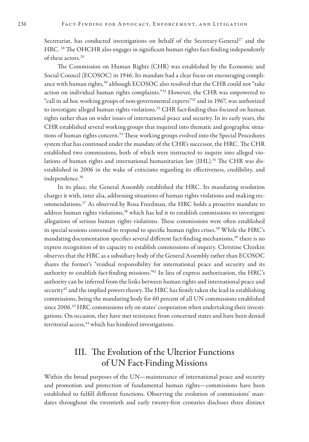Secretariat, has conducted investigations on behalf of the Secretary-General<sup>27</sup> and the HRC. 28 The OHCHR also engages in significant human rights fact-finding independently of these actors.29

The Commission on Human Rights (CHR) was established by the Economic and Social Council (ECOSOC) in 1946. Its mandate had a clear focus on encouraging compliance with human rights,<sup>30</sup> although ECOSOC also resolved that the CHR could not "take action on individual human rights complaints."31 However, the CHR was empowered to "call in ad hoc working groups of non-governmental experts"32 and in 1967, was authorized to investigate alleged human rights violations.<sup>33</sup> CHR fact-finding thus focused on human rights rather than on wider issues of international peace and security. In its early years, the CHR established several working groups that inquired into thematic and geographic situations of human rights concern.<sup>34</sup> These working groups evolved into the Special Procedures system that has continued under the mandate of the CHR's successor, the HRC. The CHR established two commissions, both of which were instructed to inquire into alleged violations of human rights and international humanitarian law (IHL).<sup>35</sup> The CHR was disestablished in 2006 in the wake of criticisms regarding its effectiveness, credibility, and independence.36

In its place, the General Assembly established the HRC. Its mandating resolution charges it with, inter alia, addressing situations of human rights violations and making recommendations.37 As observed by Rosa Freedman, the HRC holds a proactive mandate to address human rights violations,<sup>38</sup> which has led it to establish commissions to investigate allegations of serious human rights violations. These commissions were often established in special sessions convened to respond to specific human rights crises.<sup>39</sup> While the HRC's mandating documentation specifies several different fact-finding mechanisms,<sup>40</sup> there is no express recognition of its capacity to establish commissions of inquiry. Christine Chinkin observes that the HRC as a subsidiary body of the General Assembly rather than ECOSOC shares the former's "residual responsibility for international peace and security and its authority to establish fact-finding missions."<sup>41</sup> In lieu of express authorization, the HRC's authority can be inferred from the links between human rights and international peace and security<sup>42</sup> and the implied powers theory. The HRC has firmly taken the lead in establishing commissions, being the mandating body for 60 percent of all UN commissions established since 2006.<sup>43</sup> HRC commissions rely on states' cooperation when undertaking their investigations. On occasion, they have met resistance from concerned states and have been denied territorial access, <sup>44</sup> which has hindered investigations.

# III. The Evolution of the Ulterior Functions of UN Fact-Finding Missions

Within the broad purposes of the UN—maintenance of international peace and security and promotion and protection of fundamental human rights—commissions have been established to fulfill different functions. Observing the evolution of commissions' mandates throughout the twentieth and early twenty-first centuries discloses three distinct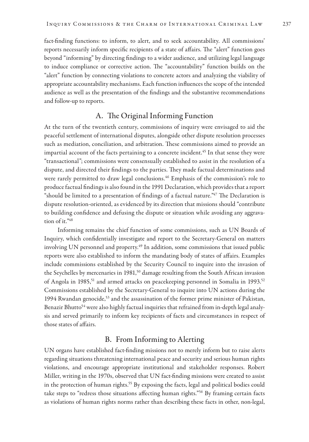fact-finding functions: to inform, to alert, and to seek accountability. All commissions' reports necessarily inform specific recipients of a state of affairs. The "alert" function goes beyond "informing" by directing findings to a wider audience, and utilizing legal language to induce compliance or corrective action. The "accountability" function builds on the "alert" function by connecting violations to concrete actors and analyzing the viability of appropriate accountability mechanisms. Each function influences the scope of the intended audience as well as the presentation of the findings and the substantive recommendations and follow-up to reports.

## A. The Original Informing Function

At the turn of the twentieth century, commissions of inquiry were envisaged to aid the peaceful settlement of international disputes, alongside other dispute resolution processes such as mediation, conciliation, and arbitration. These commissions aimed to provide an impartial account of the facts pertaining to a concrete incident.<sup>45</sup> In that sense they were "transactional"; commissions were consensually established to assist in the resolution of a dispute, and directed their findings to the parties. They made factual determinations and were rarely permitted to draw legal conclusions.<sup>46</sup> Emphasis of the commission's role to produce factual findings is also found in the 1991 Declaration, which provides that a report "should be limited to a presentation of findings of a factual nature."<sup>47</sup> The Declaration is dispute resolution-oriented, as evidenced by its direction that missions should "contribute to building confidence and defusing the dispute or situation while avoiding any aggravation of it."48

Informing remains the chief function of some commissions, such as UN Boards of Inquiry, which confidentially investigate and report to the Secretary-General on matters involving UN personnel and property.<sup>49</sup> In addition, some commissions that issued public reports were also established to inform the mandating body of states of affairs. Examples include commissions established by the Security Council to inquire into the invasion of the Seychelles by mercenaries in 1981,<sup>50</sup> damage resulting from the South African invasion of Angola in 1985,<sup>51</sup> and armed attacks on peacekeeping personnel in Somalia in 1993.<sup>52</sup> Commissions established by the Secretary-General to inquire into UN actions during the 1994 Rwandan genocide,53 and the assassination of the former prime minister of Pakistan, Benazir Bhutto<sup>54</sup> were also highly factual inquiries that refrained from in-depth legal analysis and served primarily to inform key recipients of facts and circumstances in respect of those states of affairs.

## B. From Informing to Alerting

UN organs have established fact-finding missions not to merely inform but to raise alerts regarding situations threatening international peace and security and serious human rights violations, and encourage appropriate institutional and stakeholder responses. Robert Miller, writing in the 1970s, observed that UN fact-finding missions were created to assist in the protection of human rights.<sup>55</sup> By exposing the facts, legal and political bodies could take steps to "redress those situations affecting human rights."56 By framing certain facts as violations of human rights norms rather than describing these facts in other, non-legal,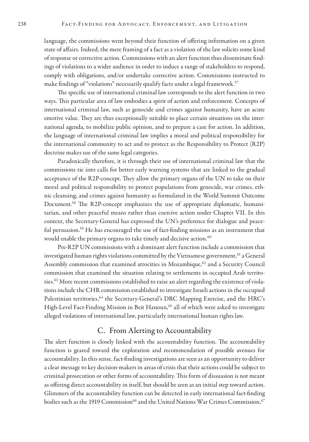language, the commissions went beyond their function of offering information on a given state of affairs. Indeed, the mere framing of a fact as a violation of the law solicits some kind of response or corrective action. Commissions with an alert function thus disseminate findings of violations to a wider audience in order to induce a range of stakeholders to respond, comply with obligations, and/or undertake corrective action. Commissions instructed to make findings of "violations" necessarily qualify facts under a legal framework.<sup>57</sup>

The specific use of international criminal law corresponds to the alert function in two ways. This particular area of law embodies a spirit of action and enforcement. Concepts of international criminal law, such as genocide and crimes against humanity, have an acute emotive value. They are thus exceptionally suitable to place certain situations on the international agenda, to mobilize public opinion, and to prepare a case for action. In addition, the language of international criminal law implies a moral and political responsibility for the international community to act and to protect as the Responsibility to Protect (R2P) doctrine makes use of the same legal categories.

Paradoxically therefore, it is through their use of international criminal law that the commissions tie into calls for better early warning systems that are linked to the gradual acceptance of the R2P-concept. They allow the primary organs of the UN to take on their moral and political responsibility to protect populations from genocide, war crimes, ethnic cleansing, and crimes against humanity as formulated in the World Summit Outcome Document.58 The R2P-concept emphasizes the use of appropriate diplomatic, humanitarian, and other peaceful means rather than coercive action under Chapter VII. In this context, the Secretary-General has expressed the UN's preference for dialogue and peaceful persuasion.<sup>59</sup> He has encouraged the use of fact-finding missions as an instrument that would enable the primary organs to take timely and decisive action.<sup>60</sup>

Pre-R2P UN commissions with a dominant alert function include a commission that investigated human rights violations committed by the Vietnamese government,<sup>61</sup> a General Assembly commission that examined atrocities in Mozambique,<sup>62</sup> and a Security Council commission that examined the situation relating to settlements in occupied Arab territories.63 More recent commissions established to raise an alert regarding the existence of violations include the CHR commission established to investigate Israeli actions in the occupied Palestinian territories,<sup>64</sup> the Secretary-General's DRC Mapping Exercise, and the HRC's High-Level Fact-Finding Mission in Beit Hanoun,<sup>65</sup> all of which were asked to investigate alleged violations of international law, particularly international human rights law.

#### C. From Alerting to Accountability

The alert function is closely linked with the accountability function. The accountability function is geared toward the exploration and recommendation of possible avenues for accountability. In this sense, fact-finding investigations are seen as an opportunity to deliver a clear message to key decision-makers in areas of crisis that their actions could be subject to criminal prosecution or other forms of accountability. This form of dissuasion is not meant as offering direct accountability in itself, but should be seen as an initial step toward action. Glimmers of the accountability function can be detected in early international fact-finding bodies such as the 1919 Commission<sup>66</sup> and the United Nations War Crimes Commission,<sup>67</sup>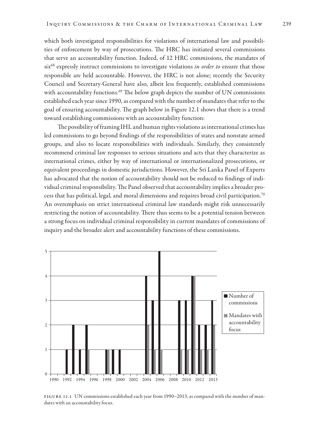which both investigated responsibilities for violations of international law and possibilities of enforcement by way of prosecutions. The HRC has initiated several commissions that serve an accountability function. Indeed, of 12 HRC commissions, the mandates of six68 expressly instruct commissions to investigate violations *in order to* ensure that those responsible are held accountable. However, the HRC is not alone; recently the Security Council and Secretary-General have also, albeit less frequently, established commissions with accountability functions.<sup>69</sup> The below graph depicts the number of UN commissions established each year since 1990, as compared with the number of mandates that refer to the goal of ensuring accountability. The graph below in Figure 12.1 shows that there is a trend toward establishing commissions with an accountability function:

The possibility of framing IHL and human rights violations as international crimes has led commissions to go beyond findings of the responsibilities of states and nonstate armed groups, and also to locate responsibilities with individuals. Similarly, they consistently recommend criminal law responses to serious situations and acts that they characterize as international crimes, either by way of international or internationalized prosecutions, or equivalent proceedings in domestic jurisdictions. However, the Sri Lanka Panel of Experts has advocated that the notion of accountability should not be reduced to findings of individual criminal responsibility. The Panel observed that accountability implies a broader process that has political, legal, and moral dimensions and requires broad civil participation.70 An overemphasis on strict international criminal law standards might risk unnecessarily restricting the notion of accountability. There thus seems to be a potential tension between a strong focus on individual criminal responsibility in current mandates of commissions of inquiry and the broader alert and accountability functions of these commissions.



FIGURE 12.1 UN commissions established each year from 1990–2013, as compared with the number of mandates with an accountability focus.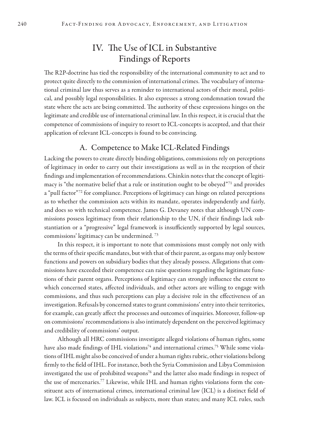## IV. The Use of ICL in Substantive Findings of Reports

The R2P-doctrine has tied the responsibility of the international community to act and to protect quite directly to the commission of international crimes. The vocabulary of international criminal law thus serves as a reminder to international actors of their moral, political, and possibly legal responsibilities. It also expresses a strong condemnation toward the state where the acts are being committed. The authority of these expressions hinges on the legitimate and credible use of international criminal law. In this respect, it is crucial that the competence of commissions of inquiry to resort to ICL-concepts is accepted, and that their application of relevant ICL-concepts is found to be convincing.

#### A. Competence to Make ICL-Related Findings

Lacking the powers to create directly binding obligations, commissions rely on perceptions of legitimacy in order to carry out their investigations as well as in the reception of their findings and implementation of recommendations. Chinkin notes that the concept of legitimacy is "the normative belief that a rule or institution ought to be obeyed"71 and provides a "pull factor"<sup>72</sup> for compliance. Perceptions of legitimacy can hinge on related perceptions as to whether the commission acts within its mandate, operates independently and fairly, and does so with technical competence. James G. Devaney notes that although UN commissions possess legitimacy from their relationship to the UN, if their findings lack substantiation or a "progressive" legal framework is insufficiently supported by legal sources, commissions' legitimacy can be undermined. 73

In this respect, it is important to note that commissions must comply not only with the terms of their specific mandates, but with that of their parent, as organs may only bestow functions and powers on subsidiary bodies that they already possess. Allegations that commissions have exceeded their competence can raise questions regarding the legitimate functions of their parent organs. Perceptions of legitimacy can strongly influence the extent to which concerned states, affected individuals, and other actors are willing to engage with commissions, and thus such perceptions can play a decisive role in the effectiveness of an investigation. Refusals by concerned states to grant commissions' entry into their territories, for example, can greatly affect the processes and outcomes of inquiries. Moreover, follow-up on commissions' recommendations is also intimately dependent on the perceived legitimacy and credibility of commissions' output.

Although all HRC commissions investigate alleged violations of human rights, some have also made findings of IHL violations<sup>74</sup> and international crimes.<sup>75</sup> While some violations of IHL might also be conceived of under a human rights rubric, other violations belong firmly to the field of IHL. For instance, both the Syria Commission and Libya Commission investigated the use of prohibited weapons<sup>76</sup> and the latter also made findings in respect of the use of mercenaries.77 Likewise, while IHL and human rights violations form the constituent acts of international crimes, international criminal law (ICL) is a distinct field of law. ICL is focused on individuals as subjects, more than states; and many ICL rules, such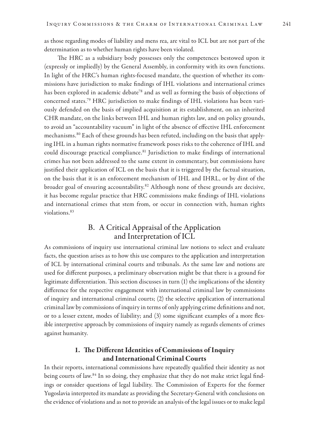as those regarding modes of liability and mens rea, are vital to ICL but are not part of the determination as to whether human rights have been violated.

The HRC as a subsidiary body possesses only the competences bestowed upon it (expressly or impliedly) by the General Assembly, in conformity with its own functions. In light of the HRC's human rights-focused mandate, the question of whether its commissions have jurisdiction to make findings of IHL violations and international crimes has been explored in academic debate<sup>78</sup> and as well as forming the basis of objections of concerned states.79 HRC jurisdiction to make findings of IHL violations has been variously defended on the basis of implied acquisition at its establishment, on an inherited CHR mandate, on the links between IHL and human rights law, and on policy grounds, to avoid an "accountability vacuum" in light of the absence of effective IHL enforcement mechanisms.80 Each of these grounds has been refuted, including on the basis that applying IHL in a human rights normative framework poses risks to the coherence of IHL and could discourage practical compliance.<sup>81</sup> Jurisdiction to make findings of international crimes has not been addressed to the same extent in commentary, but commissions have justified their application of ICL on the basis that it is triggered by the factual situation, on the basis that it is an enforcement mechanism of IHL and IHRL, or by dint of the broader goal of ensuring accountability.<sup>82</sup> Although none of these grounds are decisive, it has become regular practice that HRC commissions make findings of IHL violations and international crimes that stem from, or occur in connection with, human rights violations<sup>83</sup>

### B. A Critical Appraisal of the Application and Interpretation of ICL

As commissions of inquiry use international criminal law notions to select and evaluate facts, the question arises as to how this use compares to the application and interpretation of ICL by international criminal courts and tribunals. As the same law and notions are used for different purposes, a preliminary observation might be that there is a ground for legitimate differentiation. This section discusses in turn (1) the implications of the identity difference for the respective engagement with international criminal law by commissions of inquiry and international criminal courts; (2) the selective application of international criminal law by commissions of inquiry in terms of only applying crime definitions and not, or to a lesser extent, modes of liability; and (3) some significant examples of a more flexible interpretive approach by commissions of inquiry namely as regards elements of crimes against humanity.

#### 1. The Different Identities of Commissions of Inquiry and International Criminal Courts

In their reports, international commissions have repeatedly qualified their identity as not being courts of law.<sup>84</sup> In so doing, they emphasize that they do not make strict legal findings or consider questions of legal liability. The Commission of Experts for the former Yugoslavia interpreted its mandate as providing the Secretary-General with conclusions on the evidence of violations and as not to provide an analysis of the legal issues or to make legal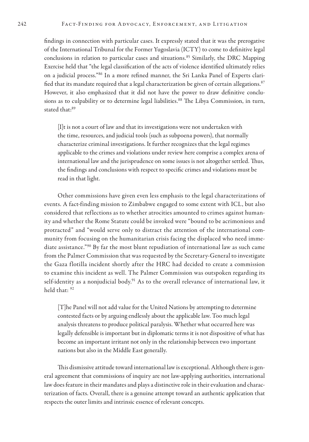findings in connection with particular cases. It expressly stated that it was the prerogative of the International Tribunal for the Former Yugoslavia (ICTY) to come to definitive legal conclusions in relation to particular cases and situations.<sup>85</sup> Similarly, the DRC Mapping Exercise held that "the legal classification of the acts of violence identified ultimately relies on a judicial process."86 In a more refined manner, the Sri Lanka Panel of Experts clarified that its mandate required that a legal characterization be given of certain allegations. $87$ However, it also emphasized that it did not have the power to draw definitive conclusions as to culpability or to determine legal liabilities.<sup>88</sup> The Libya Commission, in turn, stated that:<sup>89</sup>

[I]t is not a court of law and that its investigations were not undertaken with the time, resources, and judicial tools (such as subpoena powers), that normally characterize criminal investigations. It further recognizes that the legal regimes applicable to the crimes and violations under review here comprise a complex arena of international law and the jurisprudence on some issues is not altogether settled. Thus, the findings and conclusions with respect to specific crimes and violations must be read in that light.

Other commissions have given even less emphasis to the legal characterizations of events. A fact-finding mission to Zimbabwe engaged to some extent with ICL, but also considered that reflections as to whether atrocities amounted to crimes against humanity and whether the Rome Statute could be invoked were "bound to be acrimonious and protracted" and "would serve only to distract the attention of the international community from focusing on the humanitarian crisis facing the displaced who need immediate assistance."90 By far the most blunt repudiation of international law as such came from the Palmer Commission that was requested by the Secretary-General to investigate the Gaza flotilla incident shortly after the HRC had decided to create a commission to examine this incident as well. The Palmer Commission was outspoken regarding its self-identity as a nonjudicial body.<sup>91</sup> As to the overall relevance of international law, it held that: 92

[T]he Panel will not add value for the United Nations by attempting to determine contested facts or by arguing endlessly about the applicable law. Too much legal analysis threatens to produce political paralysis. Whether what occurred here was legally defensible is important but in diplomatic terms it is not dispositive of what has become an important irritant not only in the relationship between two important nations but also in the Middle East generally.

This dismissive attitude toward international law is exceptional. Although there is general agreement that commissions of inquiry are not law-applying authorities, international law does feature in their mandates and plays a distinctive role in their evaluation and characterization of facts. Overall, there is a genuine attempt toward an authentic application that respects the outer limits and intrinsic essence of relevant concepts.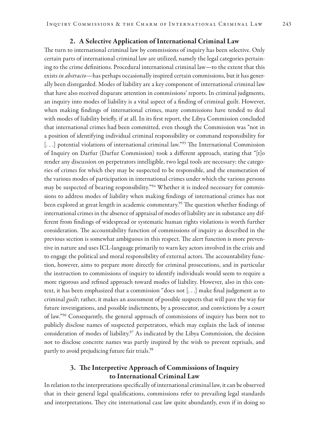#### 2. A Selective Application of International Criminal Law

The turn to international criminal law by commissions of inquiry has been selective. Only certain parts of international criminal law are utilized, namely the legal categories pertaining to the crime definitions. Procedural international criminal law—to the extent that this exists *in abstracto—*has perhaps occasionally inspired certain commissions, but it has generally been disregarded. Modes of liability are a key component of international criminal law that have also received disparate attention in commissions' reports. In criminal judgments, an inquiry into modes of liability is a vital aspect of a finding of criminal guilt. However, when making findings of international crimes, many commissions have tended to deal with modes of liability briefly, if at all. In its first report, the Libya Commission concluded that international crimes had been committed, even though the Commission was "not in a position of identifying individual criminal responsibility or command responsibility for [...] potential violations of international criminal law."<sup>93</sup> The International Commission of Inquiry on Darfur (Darfur Commission) took a different approach, stating that "[t]o render any discussion on perpetrators intelligible, two legal tools are necessary: the categories of crimes for which they may be suspected to be responsible, and the enumeration of the various modes of participation in international crimes under which the various persons may be suspected of bearing responsibility."<sup>94</sup> Whether it is indeed necessary for commissions to address modes of liability when making findings of international crimes has not been explored at great length in academic commentary.<sup>95</sup> The question whether findings of international crimes in the absence of appraisal of modes of liability are in substance any different from findings of widespread or systematic human rights violations is worth further consideration. The accountability function of commissions of inquiry as described in the previous section is somewhat ambiguous in this respect. The alert function is more preventive in nature and uses ICL-language primarily to warn key actors involved in the crisis and to engage the political and moral responsibility of external actors. The accountability function, however, aims to prepare more directly for criminal prosecutions, and in particular the instruction to commissions of inquiry to identify individuals would seem to require a more rigorous and refined approach toward modes of liability. However, also in this context, it has been emphasized that a commission "does not [. . .] make final judgement as to criminal *guilt*; rather, it makes an assessment of possible suspects that will pave the way for future investigations, and possible indictments, by a prosecutor, and convictions by a court of law."96 Consequently, the general approach of commissions of inquiry has been not to publicly disclose names of suspected perpetrators, which may explain the lack of intense consideration of modes of liability.<sup>97</sup> As indicated by the Libya Commission, the decision not to disclose concrete names was partly inspired by the wish to prevent reprisals, and partly to avoid prejudicing future fair trials.<sup>98</sup>

#### 3. The Interpretive Approach of Commissions of Inquiry to International Criminal Law

In relation to the interpretations specifically of international criminal law, it can be observed that in their general legal qualifications, commissions refer to prevailing legal standards and interpretations. They cite international case law quite abundantly, even if in doing so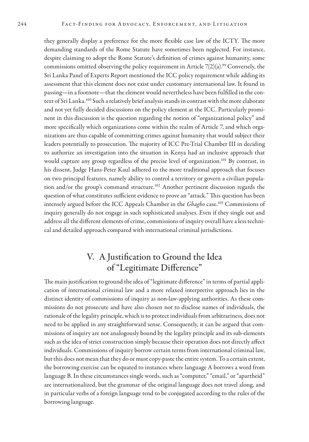they generally display a preference for the more flexible case law of the ICTY. The more demanding standards of the Rome Statute have sometimes been neglected. For instance, despite claiming to adopt the Rome Statute's definition of crimes against humanity, some commissions omitted observing the policy requirement in Article  $7(2)(a)$ .<sup>99</sup> Conversely, the Sri Lanka Panel of Experts Report mentioned the ICC policy requirement while adding its assessment that this element does not exist under customary international law. It found in passing—in a footnote—that the element would nevertheless have been fulfilled in the context of Sri Lanka.<sup>100</sup> Such a relatively brief analysis stands in contrast with the more elaborate and not yet fully decided discussions on the policy element at the ICC. Particularly prominent in this discussion is the question regarding the notion of "organizational policy" and more specifically which organizations come within the realm of Article 7, and which organizations are thus capable of committing crimes against humanity that would subject their leaders potentially to prosecution. The majority of ICC Pre-Trial Chamber III in deciding to authorize an investigation into the situation in Kenya had an inclusive approach that would capture any group regardless of the precise level of organization.<sup>101</sup> By contrast, in his dissent, Judge Hans-Peter Kaul adhered to the more traditional approach that focuses on two principal features, namely ability to control a territory or govern a civilian population and/or the group's command structure.<sup>102</sup> Another pertinent discussion regards the question of what constitutes sufficient evidence to prove an "attack." This question has been intensely argued before the ICC Appeals Chamber in the *Gbagbo* case.103 Commissions of inquiry generally do not engage in such sophisticated analyses. Even if they single out and address all the different elements of crime, commissions of inquiry overall have a less technical and detailed approach compared with international criminal jurisdictions.

# V. A Justification to Ground the Idea of "Legitimate Difference"

The main justification to ground the idea of "legitimate difference" in terms of partial application of international criminal law and a more relaxed interpretive approach lies in the distinct identity of commissions of inquiry as non-law-applying authorities. As these commissions do not prosecute and have also chosen not to disclose names of individuals, the rationale of the legality principle, which is to protect individuals from arbitrariness, does not need to be applied in any straightforward sense. Consequently, it can be argued that commissions of inquiry are not analogously bound by the legality principle and its sub-elements such as the idea of strict construction simply because their operation does not directly affect individuals. Commissions of inquiry borrow certain terms from international criminal law, but this does not mean that they do or must copy-paste the entire system. To a certain extent, the borrowing exercise can be equated to instances where language A borrows a word from language B. In these circumstances single words, such as "computer," "email," or "apartheid" are internationalized, but the grammar of the original language does not travel along, and in particular verbs of a foreign language tend to be conjugated according to the rules of the borrowing language.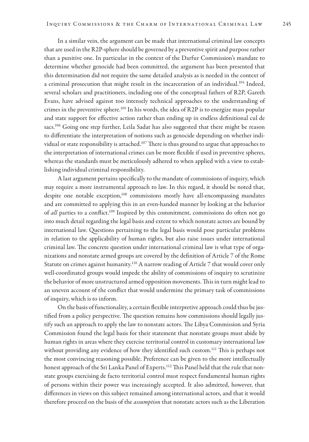In a similar vein, the argument can be made that international criminal law concepts that are used in the R2P-sphere should be governed by a preventive spirit and purpose rather than a punitive one. In particular in the context of the Darfur Commission's mandate to determine whether genocide had been committed, the argument has been presented that this determination did not require the same detailed analysis as is needed in the context of a criminal prosecution that might result in the incarceration of an individual.<sup>104</sup> Indeed, several scholars and practitioners, including one of the conceptual fathers of R2P, Gareth Evans, have advised against too intensely technical approaches to the understanding of crimes in the preventive sphere.<sup>105</sup> In his words, the idea of R2P is to energize mass popular and state support for effective action rather than ending up in endless definitional cul de sacs.<sup>106</sup> Going one step further, Leila Sadat has also suggested that there might be reason to differentiate the interpretation of notions such as genocide depending on whether individual or state responsibility is attached.<sup>107</sup> There is thus ground to argue that approaches to the interpretation of international crimes can be more flexible if used in preventive spheres, whereas the standards must be meticulously adhered to when applied with a view to establishing individual criminal responsibility.

A last argument pertains specifically to the mandate of commissions of inquiry, which may require a more instrumental approach to law. In this regard, it should be noted that, despite one notable exception,<sup>108</sup> commissions mostly have all-encompassing mandates and are committed to applying this in an even-handed manner by looking at the behavior of *all* parties to a conflict.<sup>109</sup> Inspired by this commitment, commissions do often not go into much detail regarding the legal basis and extent to which nonstate actors are bound by international law. Questions pertaining to the legal basis would pose particular problems in relation to the applicability of human rights, but also raise issues under international criminal law. The concrete question under international criminal law is what type of organizations and nonstate armed groups are covered by the definition of Article 7 of the Rome Statute on crimes against humanity.<sup>110</sup> A narrow reading of Article 7 that would cover only well-coordinated groups would impede the ability of commissions of inquiry to scrutinize the behavior of more unstructured armed opposition movements. This in turn might lead to an uneven account of the conflict that would undermine the primary task of commissions of inquiry, which is to inform.

On the basis of functionality, a certain flexible interpretive approach could thus be justified from a policy perspective. The question remains how commissions should legally justify such an approach to apply the law to nonstate actors. The Libya Commission and Syria Commission found the legal basis for their statement that nonstate groups must abide by human rights in areas where they exercise territorial control in customary international law without providing any evidence of how they identified such custom.<sup>111</sup> This is perhaps not the most convincing reasoning possible. Preference can be given to the more intellectually honest approach of the Sri Lanka Panel of Experts.<sup>112</sup> This Panel held that the rule that nonstate groups exercising de facto territorial control must respect fundamental human rights of persons within their power was increasingly accepted. It also admitted, however, that differences in views on this subject remained among international actors, and that it would therefore proceed on the basis of the *assumption* that nonstate actors such as the Liberation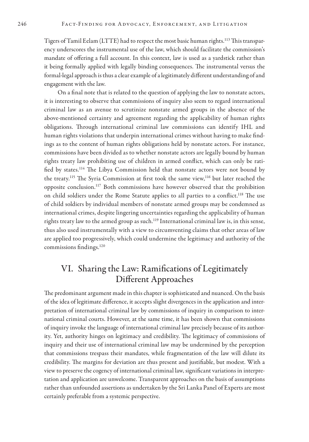Tigers of Tamil Eelam (LTTE) had to respect the most basic human rights.113 This transparency underscores the instrumental use of the law, which should facilitate the commission's mandate of offering a full account. In this context, law is used as a yardstick rather than it being formally applied with legally binding consequences. The instrumental versus the formal-legal approach is thus a clear example of a legitimately different understanding of and engagement with the law.

On a final note that is related to the question of applying the law to nonstate actors, it is interesting to observe that commissions of inquiry also seem to regard international criminal law as an avenue to scrutinize nonstate armed groups in the absence of the above-mentioned certainty and agreement regarding the applicability of human rights obligations. Through international criminal law commissions can identify IHL and human rights violations that underpin international crimes without having to make findings as to the content of human rights obligations held by nonstate actors. For instance, commissions have been divided as to whether nonstate actors are legally bound by human rights treaty law prohibiting use of children in armed conflict, which can only be ratified by states.114 The Libya Commission held that nonstate actors were not bound by the treaty.115 The Syria Commission at first took the same view,116 but later reached the opposite conclusion.117 Both commissions have however observed that the prohibition on child soldiers under the Rome Statute applies to all parties to a conflict.<sup>118</sup> The use of child soldiers by individual members of nonstate armed groups may be condemned as international crimes, despite lingering uncertainties regarding the applicability of human rights treaty law to the armed group as such.<sup>119</sup> International criminal law is, in this sense, thus also used instrumentally with a view to circumventing claims that other areas of law are applied too progressively, which could undermine the legitimacy and authority of the commissions findings.120

# VI. Sharing the Law: Ramifications of Legitimately Different Approaches

The predominant argument made in this chapter is sophisticated and nuanced. On the basis of the idea of legitimate difference, it accepts slight divergences in the application and interpretation of international criminal law by commissions of inquiry in comparison to international criminal courts. However, at the same time, it has been shown that commissions of inquiry invoke the language of international criminal law precisely because of its authority. Yet, authority hinges on legitimacy and credibility. The legitimacy of commissions of inquiry and their use of international criminal law may be undermined by the perception that commissions trespass their mandates, while fragmentation of the law will dilute its credibility. The margins for deviation are thus present and justifiable, but modest. With a view to preserve the cogency of international criminal law, significant variations in interpretation and application are unwelcome. Transparent approaches on the basis of assumptions rather than unfounded assertions as undertaken by the Sri Lanka Panel of Experts are most certainly preferable from a systemic perspective.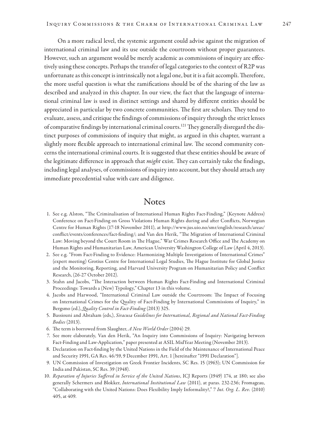On a more radical level, the systemic argument could advise against the migration of international criminal law and its use outside the courtroom without proper guarantees. However, such an argument would be merely academic as commissions of inquiry are effectively using these concepts. Perhaps the transfer of legal categories to the context of R2P was unfortunate as this concept is intrinsically not a legal one, but it is a fait accompli. Therefore, the more useful question is what the ramifications should be of the sharing of the law as described and analyzed in this chapter. In our view, the fact that the language of international criminal law is used in distinct settings and shared by different entities should be appreciated in particular by two concrete communities. The first are scholars. They tend to evaluate, assess, and critique the findings of commissions of inquiry through the strict lenses of comparative findings by international criminal courts.<sup>121</sup> They generally disregard the distinct purposes of commissions of inquiry that might, as argued in this chapter, warrant a slightly more flexible approach to international criminal law. The second community concerns the international criminal courts. It is suggested that these entities should be aware of the legitimate difference in approach that *might* exist. They can certainly take the findings, including legal analyses, of commissions of inquiry into account, but they should attach any immediate precedential value with care and diligence.

## **Notes**

- 1. See e.g. Alston, "The Criminalisation of International Human Rights Fact-Finding," (Keynote Address) Conference on Fact-Finding on Gross Violations Human Rights during and after Conflicts, Norwegian Centre for Human Rights (17-18 November 2011), at http://www.jus.uio.no/smr/english/research/areas/ conflict/events/conferences/fact-finding/; and Van den Herik, "The Migration of International Criminal Law: Moving beyond the Court Room in The Hague," War Crimes Research Office and The Academy on Human Rights and Humanitarian Law, American University Washington College of Law (April 4, 2013).
- 2. See e.g. "From Fact-Finding to Evidence: Harmonizing Multiple Investigations of International Crimes" (expert meeting) Grotius Centre for International Legal Studies, The Hague Institute for Global Justice and the Monitoring, Reporting, and Harvard University Program on Humanitarian Policy and Conflict Research, (26-27 October 2012).
- 3. Stahn and Jacobs, "The Interaction between Human Rights Fact-Finding and International Criminal Proceedings: Towards a (New) Typology," Chapter 13 in this volume.
- 4. Jacobs and Harwood, "International Criminal Law outside the Courtroom: The Impact of Focusing on International Crimes for the Quality of Fact-Finding by International Commissions of Inquiry," in Bergsmo (ed.), *Quality Control in Fact-Finding* (2013) 325.
- 5. Bassiouni and Abraham (eds,), *Siracusa Guidelines for International, Regional and National Fact-Finding Bodies* (2013).
- 6. The term is borrowed from Slaughter, *A New World Order* (2004) 29.
- 7. See more elaborately, Van den Herik, "An Inquiry into Commissions of Inquiry: Navigating between Fact-Finding and Law-Application," paper presented at ASIL MidYear Meeting (November 2013).
- 8. Declaration on Fact-finding by the United Nations in the Field of the Maintenance of International Peace and Security 1991, GA Res. 46/59, 9 December 1991, Art. 1 [hereinafter "1991 Declaration"].
- 9. UN Commission of Investigation on Greek Frontier Incidents, SC Res. 15 (1963); UN Commission for India and Pakistan, SC Res. 39 (1948).
- 10. *Reparation of Injuries Suffered in Service of the United Nations*, ICJ Reports (1949) 174, at 180; see also generally Schermers and Blokker, *International Institutional Law* (2011), at paras. 232-236; Fromageau, "Collaborating with the United Nations: Does Flexibility Imply Informality?," 7 *Int. Org. L. Rev.* (2010) 405, at 409.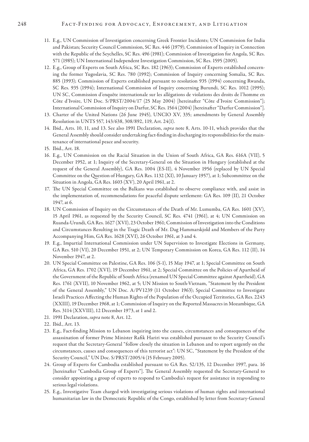#### 248 FACT-FINDING FOR ADVOCACY, ENFORCEMENT, AND LITIGATION

- 11. E.g., UN Commission of Investigation concerning Greek Frontier Incidents; UN Commission for India and Pakistan; Security Council Commission, SC Res. 446 (1979); Commission of Inquiry in Connection with the Republic of the Seychelles, SC Res. 496 (1981); Commission of Investigation for Angola, SC Res. 571 (1985); UN International Independent Investigation Commission, SC Res. 1595 (2005).
- 12. E.g., Group of Experts on South Africa, SC Res. 182 (1963); Commission of Experts established concerning the former Yugoslavia, SC Res. 780 (1992); Commission of Inquiry concerning Somalia, SC Res. 885 (1993); Commission of Experts established pursuant to resolution 935 (1994) concerning Rwanda, SC Res. 935 (1994); International Commission of Inquiry concerning Burundi, SC Res. 1012 (1995); UN SC, Commission d'enquête internationale sur les allégations de violations des droits de l'homme en Côte d'Ivoire, UN Doc. S/PRST/2004/17 (25 May 2004) [hereinafter "Côte d'Ivoire Commission"]; International Commission of Inquiry on Darfur, SC Res. 1564 (2004) [hereinafter "Darfur Commission"].
- 13. Charter of the United Nations (26 June 1945), UNCIO XV, 335; amendments by General Assembly Resolution in UNTS 557, 143/638, 308/892, 119, Art. 24(1).
- 14. Ibid., Arts. 10, 11, and 13. See also 1991 Declaration, *supra* note 8, Arts. 10-11, which provides that the General Assembly should consider undertaking fact-finding in discharging its responsibilities for the maintenance of international peace and security.
- 15. Ibid., Art. 18.
- 16. E.g., UN Commission on the Racial Situation in the Union of South Africa, GA Res. 616A (VII), 5 December 1952, at 1; Inquiry of the Secretary-General on the Situation in Hungary (established at the request of the General Assembly), GA Res. 1004 (ES-II), 4 November 1956 (replaced by UN Special Committee on the Question of Hungary, GA Res. 1132 (XI), 10 January 1957), at 1; Subcommittee on the Situation in Angola, GA Res. 1603 (XV), 20 April 1961, at 2.
- 17. The UN Special Committee on the Balkans was established to observe compliance with, and assist in the implementation of, recommendations for peaceful dispute settlement: GA Res. 109 (II), 21 October 1947, at 6.
- 18. UN Commission of Inquiry on the Circumstances of the Death of Mr. Lumumba, GA Res. 1601 (XV), 15 April 1961, as requested by the Security Council, SC Res. 4741 (1961), at 4; UN Commission on Ruanda-Urundi, GA Res. 1627 (XVI), 23 October 1961; Commission of Investigation into the Conditions and Circumstances Resulting in the Tragic Death of Mr. Dag Hammarskjold and Members of the Party Accompanying Him, GA Res. 1628 (XVI), 26 October 1961, at 3 and 4.
- 19. E.g., Impartial International Commission under UN Supervision to Investigate Elections in Germany, GA Res. 510 (VI), 20 December 1951, at 2; UN Temporary Commission on Korea, GA Res. 112 (II), 14 November 1947, at 2.
- 20. UN Special Committee on Palestine, GA Res. 106 (S-1), 15 May 1947, at 1; Special Committee on South Africa, GA Res. 1702 (XVI), 19 December 1961, at 2; Special Committee on the Policies of Apartheid of the Government of the Republic of South Africa (renamed UN Special Committee against Apartheid), GA Res. 1761 (XVII), 10 November 1962, at 5; UN Mission to South-Vietnam, "Statement by the President of the General Assembly," UN Doc. A/PV1239 (11 October 1963); Special Committee to Investigate Israeli Practices Affecting the Human Rights of the Population of the Occupied Territories, GA Res. 2243 (XXIII), 19 December 1968, at 1; Commission of Inquiry on the Reported Massacres in Mozambique, GA Res. 3114 (XXVIII), 12 December 1973, at 1 and 2.
- 21. 1991 Declaration, *supra* note 8, Art. 12.
- 22. Ibid., Art. 13.
- 23. E.g., Fact-finding Mission to Lebanon inquiring into the causes, circumstances and consequences of the assassination of former Prime Minister Rafik Hariri was established pursuant to the Security Council's request that the Secretary-General "follow closely the situation in Lebanon and to report urgently on the circumstances, causes and consequences of this terrorist act": UN SC, "Statement by the President of the Security Council," UN Doc. S/PRST/2005/4 (15 February 2005).
- 24. Group of Experts for Cambodia established pursuant to GA Res. 52/135, 12 December 1997, para. 16 [hereinafter "Cambodia Group of Experts"]. The General Assembly requested the Secretary-General to consider appointing a group of experts to respond to Cambodia's request for assistance in responding to serious legal violations.
- 25. E.g., Investigative Team charged with investigating serious violations of human rights and international humanitarian law in the Democratic Republic of the Congo, established by letter from Secretary-General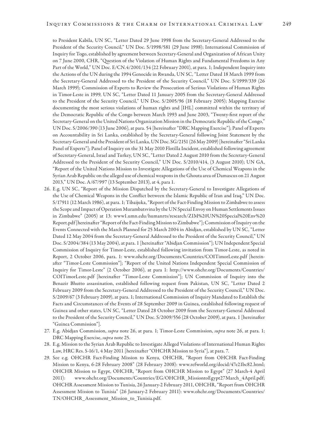to President Kabila, UN SC, "Letter Dated 29 June 1998 from the Secretary-General Addressed to the President of the Security Council," UN Doc. S/1998/581 (29 June 1998); International Commission of Inquiry for Togo, established by agreement between Secretary-General and Organization of African Unity on 7 June 2000, CHR, "Question of the Violation of Human Rights and Fundamental Freedoms in Any Part of the World," UN Doc. E/CN.4/2001/134 (22 February 2001), at para. 1; Independent Inquiry into the Actions of the UN during the 1994 Genocide in Rwanda, UN SC, "Letter Dated 18 March 1999 from the Secretary-General Addressed to the President of the Security Council," UN Doc. S/1999/339 (26 March 1999); Commission of Experts to Review the Prosecution of Serious Violations of Human Rights in Timor-Leste in 1999, UN SC, "Letter Dated 11 January 2005 from the Secretary-General Addressed to the President of the Security Council," UN Doc. S/2005/96 (18 February 2005); Mapping Exercise documenting the most serious violations of human rights and [IHL] committed within the territory of the Democratic Republic of the Congo between March 1993 and June 2003, "Twenty-first report of the Secretary-General on the United Nations Organization Mission in the Democratic Republic of the Congo," UN Doc. S/2006/390 (13 June 2006), at para. 54 [hereinafter "DRC Mapping Exercise"]; Panel of Experts on Accountability in Sri Lanka, established by the Secretary-General following Joint Statement by the Secretary-General and the President of Sri Lanka, UN Doc. SG/2151 (26 May 2009) [hereinafter "Sri Lanka Panel of Experts"]; Panel of Inquiry on the 31 May 2010 Flotilla Incident, established following agreement of Secretary-General, Israel and Turkey, UN SC, "Letter Dated 2 August 2010 from the Secretary-General Addressed to the President of the Security Council," UN Doc. S/2010/414, (3 August 2010); UN GA, "Report of the United Nations Mission to Investigate Allegations of the Use of Chemical Weapons in the Syrian Arab Republic on the alleged use of chemical weapons in the Ghouta area of Damascus on 21 August 2013," UN Doc. A/67/997 (13 September 2013), at 4, para 1.

- 26. E.g. UN SC, "Report of the Mission Dispatched by the Secretary-General to Investigate Allegations of the Use of Chemical Weapons in the Conflict between the Islamic Republic of Iran and Iraq," UN Doc. S/17911 (12 March 1986), at para. 1; Tibaijuka, "Report of the Fact-Finding Mission to Zimbabwe to assess the Scope and Impact of Operation Murambatsvina by the UN Special Envoy on Human Settlements Issues in Zimbabwe" (2005) at 13: www1.umn.edu/humanrts/research/ZIM%20UN%20Special%20Env%20 Report.pdf [hereinafter "Report of the Fact-Finding Mission to Zimbabwe"]; Commission of Inquiry on the Events Connected with the March Planned for 25 March 2004 in Abidjan, established by UN SC, "Letter Dated 12 May 2004 from the Secretary-General Addressed to the President of the Security Council," UN Doc. S/2004/384 (13 May 2004), at para. 1 [hereinafter "Abidjan Commission"]; UN Independent Special Commission of Inquiry for Timor-Leste, established following invitation from Timor-Leste, as noted in Report, 2 October 2006, para. 1: www.ohchr.org/Documents/Countries/COITimorLeste.pdf [hereinafter "Timor-Leste Commission"]; "Report of the United Nations Independent Special Commission of Inquiry for Timor-Leste" (2 October 2006), at para 1: http://www.ohchr.org/Documents/Countries/ COITimorLeste.pdf [hereinafter "Timor-Leste Commission"]; UN Commission of Inquiry into the Benazir Bhutto assassination, established following request from Pakistan, UN SC, "Letter Dated 2 February 2009 from the Secretary-General Addressed to the President of the Security Council," UN Doc. S/2009/67 (3 February 2009), at para. 1; International Commission of Inquiry Mandated to Establish the Facts and Circumstances of the Events of 28 September 2009 in Guinea, established following request of Guinea and other states, UN SC, "Letter Dated 28 October 2009 from the Secretary-General Addressed to the President of the Security Council," UN Doc. S/2009/556 (28 October 2009), at para. 1 [hereinafter "Guinea Commission"].
- 27. E.g. Abidjan Commission, *supra* note 26, at para. 1; Timor-Leste Commission, *supra* note 26, at para. 1; DRC Mapping Exercise, *supra* note 25.
- 28. E.g. Mission to the Syrian Arab Republic to Investigate Alleged Violations of International Human Rights Law, HRC Res. S-16/1, 4 May 2011 [hereinafter "OHCHR Mission to Syria"], at para. 7.
- 29. See e.g. OHCHR Fact-Finding Mission to Kenya, OHCHR, "Report from OHCHR Fact-Finding Mission to Kenya, 6-28 February 2008" (28 February 2008): www.refworld.org/docid/47e21bc82.html; OHCHR Mission to Egypt, OHCHR, "Report from OHCHR Mission to Egypt" (27 March-4 April 2011): www.ohchr.org/Documents/Countries/EG/OHCHR\_MissiontoEgypt27March\_4April.pdf; OHCHR Assessment Mission to Tunisia, 26 January-2 February 2011, OHCHR, "Report from OHCHR Assessment Mission to Tunisia" (26 January-2 February 2011): www.ohchr.org/Documents/Countries/ TN/OHCHR\_Assessment\_Mission\_to\_Tunisia.pdf.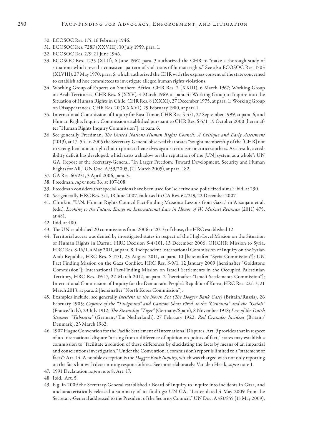- 30. ECOSOC Res. 1/5, 16 February 1946.
- 31. ECOSOC Res. 728F (XXVIII), 30 July 1959, para. 1.
- 32. ECOSOC Res. 2/9, 21 June 1946.
- 33. ECOSOC Res. 1235 (XLII), 6 June 1967, para. 3 authorized the CHR to "make a thorough study of situations which reveal a consistent pattern of violations of human rights." See also ECOSOC Res. 1503 (XLVIII), 27 May 1970, para. 6, which authorized the CHR with the express consent of the state concerned to establish ad hoc committees to investigate alleged human rights violations.
- 34. Working Group of Experts on Southern Africa, CHR Res. 2 (XXIII), 6 March 1967; Working Group on Arab Territories, CHR Res. 6 (XXV), 4 March 1969, at para. 4; Working Group to Inquire into the Situation of Human Rights in Chile, CHR Res. 8 (XXXI), 27 December 1975, at para. 1; Working Group on Disappearances, CHR Res. 20 (XXXVI), 29 February 1980, at para.1.
- 35. International Commission of Inquiry for East Timor, CHR Res. S-4/1, 27 September 1999, at para. 6, and Human Rights Inquiry Commission established pursuant to CHR Res. S-5/1, 19 October 2000 [hereinafter "Human Rights Inquiry Commission"], at para. 6.
- 36. See generally Freedman, *The United Nations Human Rights Council: A Critique and Early Assessment* (2013), at 17–54. In 2005 the Secretary-General observed that states "sought membership of the [CHR] not to strengthen human rights but to protect themselves against criticism or criticize others. As a result, a credibility deficit has developed, which casts a shadow on the reputation of the [UN] system as a whole": UN GA, Report of the Secretary-General, "In Larger Freedom: Toward Development, Security and Human Rights for All," UN Doc. A/59/2005, (21 March 2005), at para. 182.
- 37. GA Res. 60/251, 3 April 2006, para. 3.
- 38. Freedman, *supra* note 36, at 107-108.
- 39. Freedman considers that special sessions have been used for "selective and politicized aims": ibid. at 290.
- 40. See generally HRC Res. 5/1, 18 June 2007, endorsed in GA Res. 62/219, 22 December 2007.
- 41. Chinkin, "U.N. Human Rights Council Fact-Finding Missions: Lessons from Gaza," in Arsanjani et al. (eds.), *Looking to the Future: Essays on International Law in Honor of W. Michael Reisman* (2011) 475, at 481.
- 42. Ibid. at 480.
- 43. The UN established 20 commissions from 2006 to 2013; of those, the HRC established 12.
- 44. Territorial access was denied by investigated states in respect of the High-Level Mission on the Situation of Human Rights in Darfur, HRC Decision S-4/101, 13 December 2006; OHCHR Mission to Syria, HRC Res. S-16/1, 4 May 2011, at para. 8; Independent International Commission of Inquiry on the Syrian Arab Republic, HRC Res. S-17/1, 23 August 2011, at para. 10 [hereinafter "Syria Commission"]; UN Fact Finding Mission on the Gaza Conflict, HRC Res. S-9/1, 12 January 2009 [hereinafter "Goldstone Commission"]; International Fact-Finding Mission on Israeli Settlements in the Occupied Palestinian Territory, HRC Res. 19/17, 22 March 2012, at para. 2 [hereinafter "Israeli Settlements Commission"]; International Commission of Inquiry for the Democratic People's Republic of Korea, HRC Res. 22/13, 21 March 2013, at para. 2 [hereinafter "North Korea Commission"].
- 45. Examples include, see generally *Incident in the North Sea (The Dogger Bank Case)* (Britain/Russia), 26 February 1905; *Capture of the "Tavignano" and Cannon Shots Fired at the "Canouna" and the "Galois"* (France/Italy), 23 July 1912; *The Steamship "Tiger"* (Germany/Spain), 8 November 1918; *Loss of the Dutch Steamer "Tubantia"* (Germany/The Netherlands), 27 February 1922; *Red Crusader Incident* (Britain/ Denmark), 23 March 1962.
- 46. 1907 Hague Convention for the Pacific Settlement of International Disputes, Art. 9 provides that in respect of an international dispute "arising from a difference of opinion on points of fact," states may establish a commission to "facilitate a solution of these differences by elucidating the facts by means of an impartial and conscientious investigation." Under the Convention, a commission's report is limited to a "statement of facts": Art. 14. A notable exception is the *Dogger Bank Inquiry*, which was charged with not only reporting on the facts but with determining responsibilities. See more elaborately: Van den Herik, *supra* note 1.
- 47. 1991 Declaration, *supra* note 8, Art. 17.
- 48. Ibid., Art. 5.
- 49. E.g. in 2009 the Secretary-General established a Board of Inquiry to inquire into incidents in Gaza, and uncharacteristically released a summary of its findings: UN GA, "Letter dated 4 May 2009 from the Secretary-General addressed to the President of the Security Council," UN Doc. A/63/855 (15 May 2009),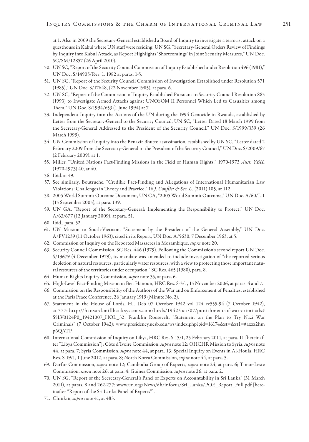at 1. Also in 2009 the Secretary-General established a Board of Inquiry to investigate a terrorist attack on a guesthouse in Kabul where UN staff were residing: UN SG, "Secretary-General Orders Review of Findings by Inquiry into Kabul Attack, as Report Highlights 'Shortcomings' in Joint Security Measures," UN Doc. SG/SM/12857 (26 April 2010).

- 50. UN SC, "Report of the Security Council Commission of Inquiry Established under Resolution 496 (1981)," UN Doc. S/14905/Rev. 1, 1982 at paras. 1-5.
- 51. UN SC, "Report of the Security Council Commission of Investigation Established under Resolution 571 (1985)," UN Doc. S/17648, (22 November 1985), at para. 6.
- 52. UN SC, "Report of the Commission of Inquiry Established Pursuant to Security Council Resolution 885 (1993) to Investigate Armed Attacks against UNOSOM II Personnel Which Led to Casualties among Them," UN Doc. S/1994/653 (1 June 1994) at 7.
- 53. Independent Inquiry into the Actions of the UN during the 1994 Genocide in Rwanda, established by Letter from the Secretary-General to the Security Council, UN SC, "Letter Dated 18 March 1999 from the Secretary-General Addressed to the President of the Security Council," UN Doc. S/1999/339 (26 March 1999).
- 54. UN Commission of Inquiry into the Benazir Bhutto assassination, established by UN SC, "Letter dated 2 February 2009 from the Secretary-General to the President of the Security Council," UN Doc. S/2009/67 (2 February 2009), at 1.
- 55. Miller, "United Nations Fact-Finding Missions in the Field of Human Rights," 1970-1973 *Aust. YBIL* (1970-1973) 40, at 40.
- 56. Ibid. at 49.
- 57. See similarly, Boutruche, "Credible Fact-Finding and Allegations of International Humanitarian Law Violations: Challenges in Theory and Practice," 16 *J. Conflict & Sec. L.* (2011) 105, at 112.
- 58. 2005 World Summit Outcome Document, UN GA, "2005 World Summit Outcome," UN Doc. A/60/L.1 (15 September 2005), at para. 139.
- 59. UN GA, "Report of the Secretary-General: Implementing the Responsibility to Protect," UN Doc. A/63/677 (12 January 2009), at para. 51.
- 60. Ibid., para. 52.
- 61. UN Mission to South-Vietnam, "Statement by the President of the General Assembly," UN Doc. A/PV1239 (11 October 1963), cited in its Report, UN Doc. A/5630, 7 December 1963, at 5.
- 62. Commission of Inquiry on the Reported Massacres in Mozambique, *supra* note 20.
- 63. Security Council Commission, SC Res. 446 (1979). Following the Commission's second report UN Doc. S/13679 (4 December 1979), its mandate was amended to include investigation of "the reported serious depletion of natural resources, particularly water resources, with a view to protecting those important natural resources of the territories under occupation." SC Res. 465 (1980), para. 8.
- 64. Human Rights Inquiry Commission, *supra* note 35, at para. 6.
- 65. High-Level Fact-Finding Mission in Beit Hanoun, HRC Res. S-3/1, 15 November 2006, at paras. 4 and 7.
- 66. Commission on the Responsibility of the Authors of the War and on Enforcement of Penalties, established at the Paris Peace Conference, 26 January 1919 (Minute No. 2).
- 67. Statement in the House of Lords, HL Deb 07 October 1942 vol 124 cc555-94 (7 October 1942), at 577: http://hansard.millbanksystems.com/lords/1942/oct/07/punishment-of-war-criminals# S5LV0124P0\_19421007\_HOL\_32; Franklin Roosevelt, "Statement on the Plan to Try Nazi War Criminals" (7 October 1942): www.presidency.ucsb.edu/ws/index.php?pid=16174&st=&st1=#axzz2hm p6QATP.
- 68. International Commission of Inquiry on Libya, HRC Res. S-15/1, 25 February 2011, at para. 11 [hereinafter "Libya Commission"]; Côte d'Ivoire Commission, *supra* note 12; OHCHR Mission to Syria, *supra* note 44, at para. 7; Syria Commission, *supra* note 44, at para. 13; Special Inquiry on Events in Al-Houla, HRC Res. S-19/1, 1 June 2012, at para. 8; North Korea Commission, *supra* note 44, at para. 5.
- 69. Darfur Commission, *supra* note 12; Cambodia Group of Experts, *supra* note 24, at para. 6; Timor-Leste Commission, *supra* note 26, at para. 4; Guinea Commission, *supra* note 26, at para. 2.
- 70. UN SG, "Report of the Secretary-General's Panel of Experts on Accountability in Sri Lanka" (31 March 2011), at paras. 8 and 262-277: www.un.org/News/dh/infocus/Sri\_Lanka/POE\_Report\_Full.pdf [hereinafter "Report of the Sri Lanka Panel of Experts"].
- 71. Chinkin, *supra* note 41, at 483.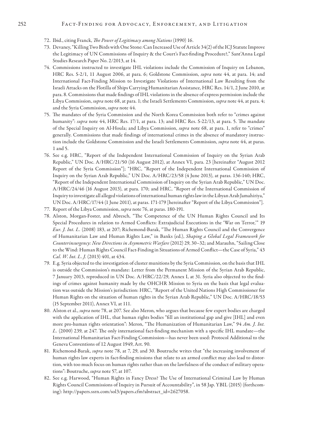#### 252 FACT-FINDING FOR ADVOCACY, ENFORCEMENT, AND LITIGATION

- 72. Ibid., citing Franck, *The Power of Legitimacy among Nations* (1990) 16.
- 73. Devaney, "Killing Two Birds with One Stone: Can Increased Use of Article 34(2) of the ICJ Statute Improve the Legitimacy of UN Commissions of Inquiry & the Court's Fact-finding Procedure?," Sant'Anna Legal Studies Research Paper No. 2/2013, at 14.
- 74. Commissions instructed to investigate IHL violations include the Commission of Inquiry on Lebanon, HRC Res. S-2/1, 11 August 2006, at para. 6; Goldstone Commission, *supra* note 44, at para. 14; and International Fact-Finding Mission to Investigate Violations of International Law Resulting from the Israeli Attacks on the Flotilla of Ships Carrying Humanitarian Assistance, HRC Res. 14/1, 2 June 2010, at para. 8. Commissions that made findings of IHL violations in the absence of express permission include the Libya Commission, *supra* note 68, at para. 1; the Israeli Settlements Commission, *supra* note 44, at para. 4; and the Syria Commission, *supra* note 44.
- 75. The mandates of the Syria Commission and the North Korea Commission both refer to "crimes against humanity": *supra* note 44, HRC Res. 17/1, at para. 13; and HRC Res. S-22/13, at para. 5. The mandate of the Special Inquiry on Al-Houla; and Libya Commission, *supra* note 68, at para. 1, refer to "crimes" generally. Commissions that made findings of international crimes in the absence of mandatory instruction include the Goldstone Commission and the Israeli Settlements Commission, *supra* note 44, at paras. 1 and 5.
- 76. See e.g. HRC, "Report of the Independent International Commission of Inquiry on the Syrian Arab Republic," UN Doc. A/HRC/21/50 (16 August 2012), at Annex VI, para. 23 [hereinafter "August 2012 Report of the Syria Commission"]; "HRC, "Report of the Independent International Commission of Inquiry on the Syrian Arab Republic," UN Doc. A/HRC/23/58 (4 June 2013), at paras. 136-140; HRC, "Report of the Independent International Commission of Inquiry on the Syrian Arab Republic," UN Doc. A/HRC/24/46 (16 August 2013), at para. 170; and HRC, "Report of the International Commission of Inquiry to investigate all alleged violations of international human rights law in the Libyan Arab Jamahiriya," UN Doc. A/HRC/17/44 (1 June 2011), at paras. 171-179 [hereinafter "Report of the Libya Commission"].
- 77. Report of the Libya Commission, *supra* note 76, at paras. 180-191.
- 78. Alston, Morgan-Foster, and Abresch, "The Competence of the UN Human Rights Council and Its Special Procedures in relation to Armed Conflicts: Extrajudicial Executions in the 'War on Terror,'" 19 *Eur. J. Int. L.* (2008) 183, at 207; Richemond-Barak, "The Human Rights Council and the Convergence of Humanitarian Law and Human Rights Law," in Banks (ed.), *Shaping a Global Legal Framework for Counterinsurgency: New Directions in Asymmetric Warfare* (2012) 29, 30–32; and Marauhn, "Sailing Close to the Wind: Human Rights Council Fact-Finding in Situations of Armed Conflict—the Case of Syria," 43 *Cal. W. Int. L. J.* (2013) 401, at 434.
- 79. E.g. Syria objected to the investigation of cluster munitions by the Syria Commission, on the basis that IHL is outside the Commission's mandate: Letter from the Permanent Mission of the Syrian Arab Republic, 7 January 2013, reproduced in UN Doc. A/HRC/22/29, Annex I, at 31. Syria also objected to the findings of crimes against humanity made by the OHCHR Mission to Syria on the basis that legal evaluation was outside the Mission's jurisdiction: HRC, "Report of the United Nations High Commissioner for Human Rights on the situation of human rights in the Syrian Arab Republic," UN Doc. A/HRC/18/53 (15 September 2011), Annex VI, at 111.
- 80. Alston et al., *supra* note 78, at 207. See also Meron, who argues that because few expert bodies are charged with the application of IHL, that human rights bodies "fill an institutional gap and give [IHL] and even more pro-human rights orientation": Meron, "The Humanization of Humanitarian Law," 94 *Am. J. Int. L.* (2000) 239, at 247. The only international fact-finding mechanism with a specific IHL mandate—the International Humanitarian Fact-Finding Commission—has never been used: Protocol Additional to the Geneva Conventions of 12 August 1949, Art. 90.
- 81. Richemond-Barak, *supra* note 78, at 7, 29, and 30. Boutruche writes that "the increasing involvement of human rights law experts in fact-finding missions that relate to an armed conflict may also lead to distortion, with too much focus on human rights rather than on the lawfulness of the conduct of military operations": Boutruche, *supra* note 57, at 107.
- 82. See e.g. Harwood, "Human Rights in Fancy Dress? The Use of International Criminal Law by Human Rights Council Commissions of Inquiry in Pursuit of Accountability", in 58 Jap. YBIL (2015) (forthcoming): http://papers.ssrn.com/sol3/papers.cfm?abstract\_id=2627058.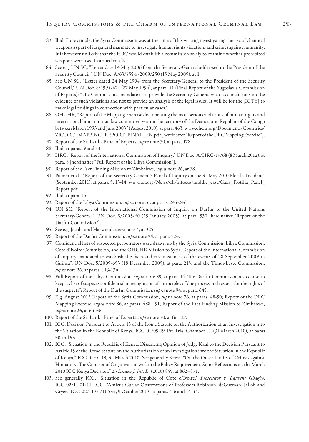- 83. Ibid. For example, the Syria Commission was at the time of this writing investigating the use of chemical weapons as part of its general mandate to investigate human rights violations and crimes against humanity. It is however unlikely that the HRC would establish a commission solely to examine whether prohibited weapons were used in armed conflict.
- 84. See e.g. UN SC, "Letter dated 4 May 2006 from the Secretary-General addressed to the President of the Security Council," UN Doc. A/63/855-S/2009/250 (15 May 2009), at 1.
- 85. See UN SC, "Letter dated 24 May 1994 from the Secretary-General to the President of the Security Council," UN Doc. S/1994/674 (27 May 1994), at para. 41 (Final Report of the Yugoslavia Commission of Experts): "The Commission's mandate is to provide the Secretary-General with its conclusions on the evidence of such violations and not to provide an analysis of the legal issues. It will be for the [ICTY] to make legal findings in connection with particular cases."
- 86. OHCHR, "Report of the Mapping Exercise documenting the most serious violations of human rights and international humanitarian law committed within the territory of the Democratic Republic of the Congo between March 1993 and June 2003" (August 2010), at para. 463: www.ohchr.org/Documents/Countries/ ZR/DRC\_MAPPING\_REPORT\_FINAL\_EN.pdf [hereinafter "Report of the DRC Mapping Exercise"].
- 87. Report of the Sri Lanka Panel of Experts, *supra* note 70, at para. 178.
- 88. Ibid. at paras. 9 and 53.
- 89. HRC, "Report of the International Commission of Inquiry," UN Doc. A/HRC/19/68 (8 March 2012), at para. 8 [hereinafter "Full Report of the Libya Commission"].
- 90. Report of the Fact-Finding Mission to Zimbabwe, *supra* note 26, at 78.
- 91. Palmer et al., "Report of the Secretary-General's Panel of Inquiry on the 31 May 2010 Flotilla Incident" (September 2011), at paras. 5, 13-14: www.un.org/News/dh/infocus/middle\_east/Gaza\_Flotilla\_Panel\_ Report.pdf.
- 92. Ibid. at para. 15.
- 93. Report of the Libya Commission, *supra* note 76, at paras. 245-246.
- 94. UN SC, "Report of the International Commission of Inquiry on Darfur to the United Nations Secretary-General," UN Doc. S/2005/60 (25 January 2005), at para. 530 [hereinafter "Report of the Darfur Commission"].
- 95. See e.g. Jacobs and Harwood, *supra* note 4, at 325.
- 96. Report of the Darfur Commission, *supra* note 94, at para. 524.
- 97. Confidential lists of suspected perpetrators were drawn up by the Syria Commission, Libya Commission, Cote d'Ivoire Commission, and the OHCHR Mission to Syria. Report of the International Commission of Inquiry mandated to establish the facts and circumstances of the events of 28 September 2009 in Guinea", UN Doc. S/2009/693 (18 December 2009), at para. 215; and the Timor-Leste Commission, *supra* note 26, at paras. 113-134.
- 98. Full Report of the Libya Commission, *supra* note 89, at para. 14. The Darfur Commission also chose to keep its list of suspects confidential in recognition of "principles of due process and respect for the rights of the suspects": Report of the Darfur Commission, *supra* note 94, at para. 645.
- 99. E.g. August 2012 Report of the Syria Commission, *supra* note 76, at paras. 48-50; Report of the DRC Mapping Exercise, *supra* note 86, at paras. 488-491; Report of the Fact-Finding Mission to Zimbabwe, *supra* note 26, at 64-66.
- 100. Report of the Sri Lanka Panel of Experts, *supra* note 70, at fn. 127.
- 101. ICC, Decision Pursuant to Article 15 of the Rome Statute on the Authorization of an Investigation into the Situation in the Republic of Kenya, ICC-01/09-19, Pre-Trial Chamber III (31 March 2010), at paras 90 and 93.
- 102. ICC, "Situation in the Republic of Kenya, Dissenting Opinion of Judge Kaul to the Decision Pursuant to Article 15 of the Rome Statute on the Authorization of an Investigation into the Situation in the Republic of Kenya," ICC-01/01-19, 31 March 2010. See generally Kress, "On the Outer Limits of Crimes against Humanity: The Concept of Organization within the Policy Requirement. Some Reflections on the March 2010 ICC Kenya Decision," 23 *Leiden J. Int. L.* (2010) 855, at 862–871.
- 103. See generally ICC, "Situation in the Republic of Cote d'Ivoire," *Prosecutor v. Laurent Gbagbo*, ICC-02/11-01/11; ICC, "Amicus Curiae Observations of Professors Robinson, deGuzman, Jalloh and Cryer," ICC-02/11-01/11-534, 9 October 2013, at paras. 4-6 and 14-44.